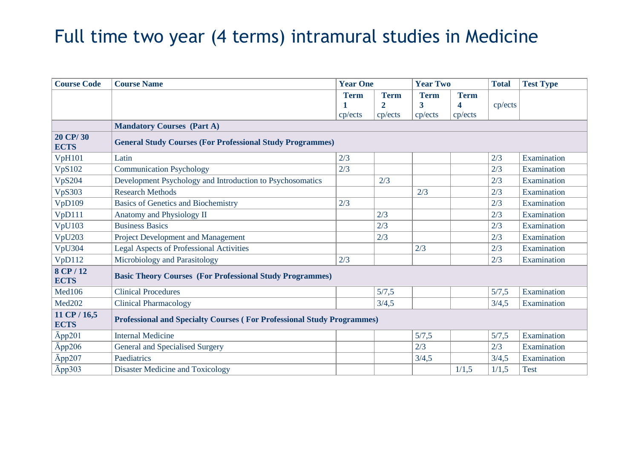## Full time two year (4 terms) intramural studies in Medicine

| <b>Course Code</b>          | <b>Course Name</b>                                                            | <b>Year One</b>        |                                                   | <b>Year Two</b>             |                             | <b>Total</b> | <b>Test Type</b> |
|-----------------------------|-------------------------------------------------------------------------------|------------------------|---------------------------------------------------|-----------------------------|-----------------------------|--------------|------------------|
|                             |                                                                               | <b>Term</b><br>cp/ects | <b>Term</b><br>$\overline{\mathbf{2}}$<br>cp/ects | <b>Term</b><br>3<br>cp/ects | <b>Term</b><br>4<br>cp/ects | cp/ects      |                  |
|                             | <b>Mandatory Courses (Part A)</b>                                             |                        |                                                   |                             |                             |              |                  |
| 20 CP/30<br><b>ECTS</b>     | <b>General Study Courses (For Professional Study Programmes)</b>              |                        |                                                   |                             |                             |              |                  |
| <b>VpH101</b>               | Latin                                                                         | 2/3                    |                                                   |                             |                             | 2/3          | Examination      |
| <b>VpS102</b>               | <b>Communication Psychology</b>                                               | 2/3                    |                                                   |                             |                             | 2/3          | Examination      |
| <b>VpS204</b>               | Development Psychology and Introduction to Psychosomatics                     |                        | 2/3                                               |                             |                             | 2/3          | Examination      |
| <b>VpS303</b>               | <b>Research Methods</b>                                                       |                        |                                                   | 2/3                         |                             | 2/3          | Examination      |
| VpD109                      | <b>Basics of Genetics and Biochemistry</b>                                    | 2/3                    |                                                   |                             |                             | 2/3          | Examination      |
| VpD111                      | Anatomy and Physiology II                                                     |                        | 2/3                                               |                             |                             | 2/3          | Examination      |
| <b>VpU103</b>               | <b>Business Basics</b>                                                        |                        | 2/3                                               |                             |                             | 2/3          | Examination      |
| VpU203                      | <b>Project Development and Management</b>                                     |                        | 2/3                                               |                             |                             | 2/3          | Examination      |
| VpU304                      | <b>Legal Aspects of Professional Activities</b>                               |                        |                                                   | 2/3                         |                             | 2/3          | Examination      |
| VpD112                      | Microbiology and Parasitology                                                 | 2/3                    |                                                   |                             |                             | 2/3          | Examination      |
| 8 CP / 12<br><b>ECTS</b>    | <b>Basic Theory Courses (For Professional Study Programmes)</b>               |                        |                                                   |                             |                             |              |                  |
| Med106                      | <b>Clinical Procedures</b>                                                    |                        | 5/7,5                                             |                             |                             | 5/7,5        | Examination      |
| Med202                      | <b>Clinical Pharmacology</b>                                                  |                        | 3/4,5                                             |                             |                             | 3/4,5        | Examination      |
| 11 CP / 16,5<br><b>ECTS</b> | <b>Professional and Specialty Courses (For Professional Study Programmes)</b> |                        |                                                   |                             |                             |              |                  |
| $\bar{A}$ pp201             | <b>Internal Medicine</b>                                                      |                        |                                                   | 5/7,5                       |                             | 5/7,5        | Examination      |
| App206                      | <b>General and Specialised Surgery</b>                                        |                        |                                                   | 2/3                         |                             | 2/3          | Examination      |
| App207                      | Paediatrics                                                                   |                        |                                                   | 3/4,5                       |                             | 3/4,5        | Examination      |
| App303                      | <b>Disaster Medicine and Toxicology</b>                                       |                        |                                                   |                             | 1/1,5                       | 1/1,5        | <b>Test</b>      |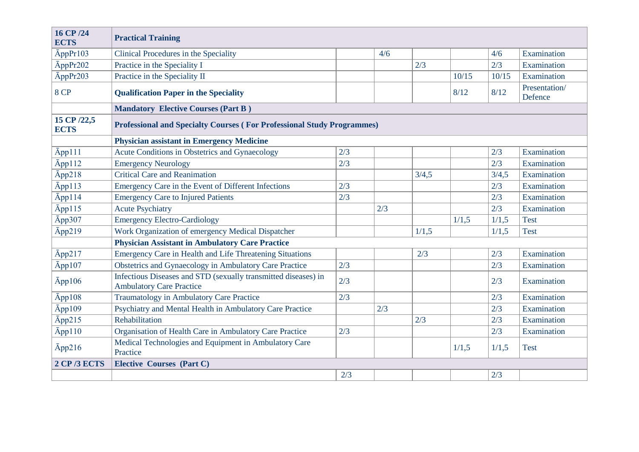| 16 CP /24<br><b>ECTS</b>   | <b>Practical Training</b>                                                                         |     |     |       |       |       |                          |  |
|----------------------------|---------------------------------------------------------------------------------------------------|-----|-----|-------|-------|-------|--------------------------|--|
| AppPr103                   | Clinical Procedures in the Speciality                                                             |     | 4/6 |       |       | 4/6   | Examination              |  |
| AppPr202                   | Practice in the Speciality I                                                                      |     |     | 2/3   |       | 2/3   | Examination              |  |
| AppPr203                   | Practice in the Speciality II                                                                     |     |     |       | 10/15 | 10/15 | Examination              |  |
| 8 CP                       | <b>Qualification Paper in the Speciality</b>                                                      |     |     |       | 8/12  | 8/12  | Presentation/<br>Defence |  |
|                            | <b>Mandatory Elective Courses (Part B)</b>                                                        |     |     |       |       |       |                          |  |
| 15 CP /22,5<br><b>ECTS</b> | <b>Professional and Specialty Courses (For Professional Study Programmes)</b>                     |     |     |       |       |       |                          |  |
|                            | <b>Physician assistant in Emergency Medicine</b>                                                  |     |     |       |       |       |                          |  |
| App111                     | Acute Conditions in Obstetrics and Gynaecology                                                    | 2/3 |     |       |       | 2/3   | Examination              |  |
| App112                     | <b>Emergency Neurology</b>                                                                        | 2/3 |     |       |       | 2/3   | Examination              |  |
| App218                     | <b>Critical Care and Reanimation</b>                                                              |     |     | 3/4,5 |       | 3/4,5 | Examination              |  |
| App113                     | Emergency Care in the Event of Different Infections                                               | 2/3 |     |       |       | 2/3   | Examination              |  |
| App114                     | <b>Emergency Care to Injured Patients</b>                                                         | 2/3 |     |       |       | 2/3   | Examination              |  |
| App115                     | <b>Acute Psychiatry</b>                                                                           |     | 2/3 |       |       | 2/3   | Examination              |  |
| Āpp307                     | <b>Emergency Electro-Cardiology</b>                                                               |     |     |       | 1/1,5 | 1/1,5 | <b>Test</b>              |  |
| App219                     | Work Organization of emergency Medical Dispatcher                                                 |     |     | 1/1,5 |       | 1/1,5 | <b>Test</b>              |  |
|                            | <b>Physician Assistant in Ambulatory Care Practice</b>                                            |     |     |       |       |       |                          |  |
| App217                     | <b>Emergency Care in Health and Life Threatening Situations</b>                                   |     |     | 2/3   |       | 2/3   | Examination              |  |
| App107                     | Obstetrics and Gynaecology in Ambulatory Care Practice                                            | 2/3 |     |       |       | 2/3   | Examination              |  |
| App106                     | Infectious Diseases and STD (sexually transmitted diseases) in<br><b>Ambulatory Care Practice</b> | 2/3 |     |       |       | 2/3   | Examination              |  |
| Āpp108                     | Traumatology in Ambulatory Care Practice                                                          | 2/3 |     |       |       | 2/3   | Examination              |  |
| App109                     | Psychiatry and Mental Health in Ambulatory Care Practice                                          |     | 2/3 |       |       | 2/3   | Examination              |  |
| App215                     | Rehabilitation                                                                                    |     |     | 2/3   |       | 2/3   | Examination              |  |
| App110                     | Organisation of Health Care in Ambulatory Care Practice                                           | 2/3 |     |       |       | 2/3   | Examination              |  |
| App216                     | Medical Technologies and Equipment in Ambulatory Care<br>Practice                                 |     |     |       | 1/1,5 | 1/1,5 | <b>Test</b>              |  |
| <b>2 CP/3 ECTS</b>         | <b>Elective Courses (Part C)</b>                                                                  |     |     |       |       |       |                          |  |
|                            |                                                                                                   | 2/3 |     |       |       | 2/3   |                          |  |